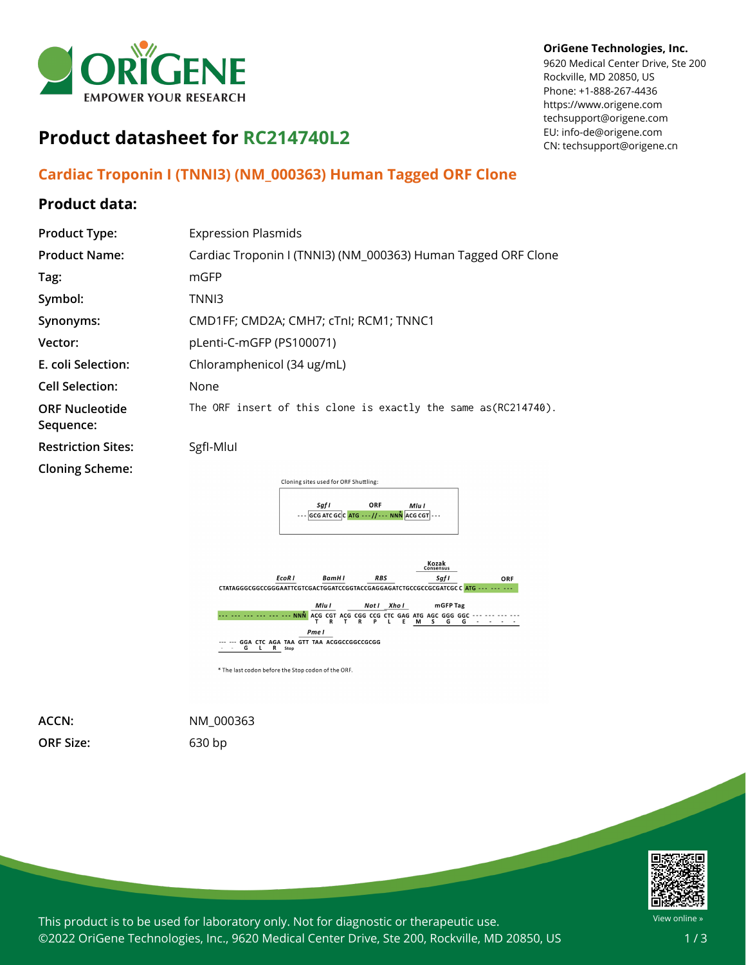

#### **OriGene Technologies, Inc.**

9620 Medical Center Drive, Ste 200 Rockville, MD 20850, US Phone: +1-888-267-4436 https://www.origene.com techsupport@origene.com EU: info-de@origene.com CN: techsupport@origene.cn

# **Product datasheet for RC214740L2**

## **Cardiac Troponin I (TNNI3) (NM\_000363) Human Tagged ORF Clone**

## **Product data:**

| <b>Product Type:</b>               | <b>Expression Plasmids</b>                                            |
|------------------------------------|-----------------------------------------------------------------------|
| <b>Product Name:</b>               | Cardiac Troponin I (TNNI3) (NM_000363) Human Tagged ORF Clone         |
| Tag:                               | mGFP                                                                  |
| Symbol:                            | TNNI3                                                                 |
| Synonyms:                          | CMD1FF; CMD2A; CMH7; cTnI; RCM1; TNNC1                                |
| Vector:                            | pLenti-C-mGFP (PS100071)                                              |
| E. coli Selection:                 | Chloramphenicol (34 ug/mL)                                            |
| <b>Cell Selection:</b>             | None                                                                  |
| <b>ORF Nucleotide</b><br>Sequence: | The ORF insert of this clone is exactly the same as(RC214740).        |
| <b>Restriction Sites:</b>          | Sgfl-Mlul                                                             |
| <b>Cloning Scheme:</b>             |                                                                       |
|                                    | Cloning sites used for ORF Shuttling:                                 |
|                                    | ORF<br>Saf I<br>Mlu I<br>--- GCG ATC GCC ATG ---//--- NNN ACG CGT --- |
|                                    |                                                                       |



**ORF Size:** 630 bp

**ACCN:** NM\_000363



This product is to be used for laboratory only. Not for diagnostic or therapeutic use. ©2022 OriGene Technologies, Inc., 9620 Medical Center Drive, Ste 200, Rockville, MD 20850, US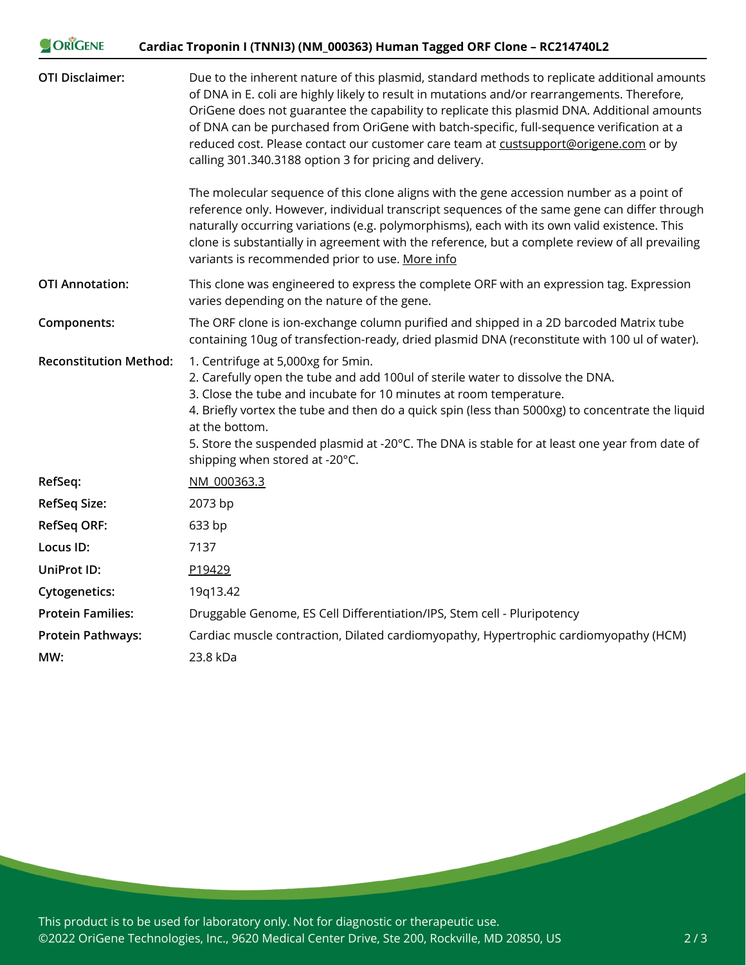| ORIGENE                       | Cardiac Troponin I (TNNI3) (NM_000363) Human Tagged ORF Clone - RC214740L2                                                                                                                                                                                                                                                                                                                                                                                                                                                                  |
|-------------------------------|---------------------------------------------------------------------------------------------------------------------------------------------------------------------------------------------------------------------------------------------------------------------------------------------------------------------------------------------------------------------------------------------------------------------------------------------------------------------------------------------------------------------------------------------|
| <b>OTI Disclaimer:</b>        | Due to the inherent nature of this plasmid, standard methods to replicate additional amounts<br>of DNA in E. coli are highly likely to result in mutations and/or rearrangements. Therefore,<br>OriGene does not guarantee the capability to replicate this plasmid DNA. Additional amounts<br>of DNA can be purchased from OriGene with batch-specific, full-sequence verification at a<br>reduced cost. Please contact our customer care team at custsupport@origene.com or by<br>calling 301.340.3188 option 3 for pricing and delivery. |
|                               | The molecular sequence of this clone aligns with the gene accession number as a point of<br>reference only. However, individual transcript sequences of the same gene can differ through<br>naturally occurring variations (e.g. polymorphisms), each with its own valid existence. This<br>clone is substantially in agreement with the reference, but a complete review of all prevailing<br>variants is recommended prior to use. More info                                                                                              |
| <b>OTI Annotation:</b>        | This clone was engineered to express the complete ORF with an expression tag. Expression<br>varies depending on the nature of the gene.                                                                                                                                                                                                                                                                                                                                                                                                     |
| Components:                   | The ORF clone is ion-exchange column purified and shipped in a 2D barcoded Matrix tube<br>containing 10ug of transfection-ready, dried plasmid DNA (reconstitute with 100 ul of water).                                                                                                                                                                                                                                                                                                                                                     |
| <b>Reconstitution Method:</b> | 1. Centrifuge at 5,000xg for 5min.<br>2. Carefully open the tube and add 100ul of sterile water to dissolve the DNA.<br>3. Close the tube and incubate for 10 minutes at room temperature.<br>4. Briefly vortex the tube and then do a quick spin (less than 5000xg) to concentrate the liquid<br>at the bottom.<br>5. Store the suspended plasmid at -20°C. The DNA is stable for at least one year from date of<br>shipping when stored at -20°C.                                                                                         |
| RefSeq:                       | NM 000363.3                                                                                                                                                                                                                                                                                                                                                                                                                                                                                                                                 |
| <b>RefSeq Size:</b>           | 2073 bp                                                                                                                                                                                                                                                                                                                                                                                                                                                                                                                                     |
| <b>RefSeq ORF:</b>            | 633 bp                                                                                                                                                                                                                                                                                                                                                                                                                                                                                                                                      |
| Locus ID:                     | 7137                                                                                                                                                                                                                                                                                                                                                                                                                                                                                                                                        |
| UniProt ID:                   | P19429                                                                                                                                                                                                                                                                                                                                                                                                                                                                                                                                      |
| <b>Cytogenetics:</b>          | 19q13.42                                                                                                                                                                                                                                                                                                                                                                                                                                                                                                                                    |
| <b>Protein Families:</b>      | Druggable Genome, ES Cell Differentiation/IPS, Stem cell - Pluripotency                                                                                                                                                                                                                                                                                                                                                                                                                                                                     |
| <b>Protein Pathways:</b>      | Cardiac muscle contraction, Dilated cardiomyopathy, Hypertrophic cardiomyopathy (HCM)                                                                                                                                                                                                                                                                                                                                                                                                                                                       |
| MW:                           | 23.8 kDa                                                                                                                                                                                                                                                                                                                                                                                                                                                                                                                                    |

This product is to be used for laboratory only. Not for diagnostic or therapeutic use. ©2022 OriGene Technologies, Inc., 9620 Medical Center Drive, Ste 200, Rockville, MD 20850, US